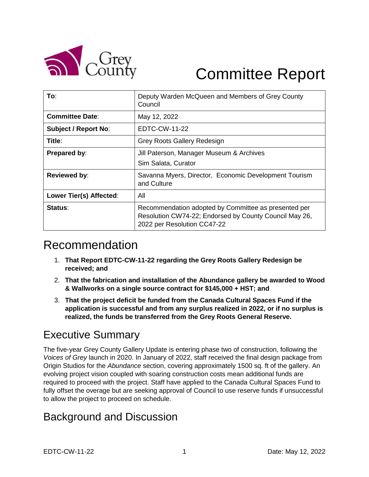

# Committee Report

| To:                         | Deputy Warden McQueen and Members of Grey County<br>Council                                                                                   |
|-----------------------------|-----------------------------------------------------------------------------------------------------------------------------------------------|
| <b>Committee Date:</b>      | May 12, 2022                                                                                                                                  |
| <b>Subject / Report No:</b> | EDTC-CW-11-22                                                                                                                                 |
| Title:                      | <b>Grey Roots Gallery Redesign</b>                                                                                                            |
| <b>Prepared by:</b>         | Jill Paterson, Manager Museum & Archives<br>Sim Salata, Curator                                                                               |
| <b>Reviewed by:</b>         | Savanna Myers, Director, Economic Development Tourism<br>and Culture                                                                          |
| Lower Tier(s) Affected:     | All                                                                                                                                           |
| Status:                     | Recommendation adopted by Committee as presented per<br>Resolution CW74-22; Endorsed by County Council May 26,<br>2022 per Resolution CC47-22 |

# Recommendation

- 1. **That Report EDTC-CW-11-22 regarding the Grey Roots Gallery Redesign be received; and**
- 2. **That the fabrication and installation of the Abundance gallery be awarded to Wood & Wallworks on a single source contract for \$145,000 + HST; and**
- 3. **That the project deficit be funded from the Canada Cultural Spaces Fund if the application is successful and from any surplus realized in 2022, or if no surplus is realized, the funds be transferred from the Grey Roots General Reserve.**

## Executive Summary

The five-year Grey County Gallery Update is entering phase two of construction, following the *Voices of Grey* launch in 2020. In January of 2022, staff received the final design package from Origin Studios for the *Abundance* section, covering approximately 1500 sq. ft of the gallery. An evolving project vision coupled with soaring construction costs mean additional funds are required to proceed with the project. Staff have applied to the Canada Cultural Spaces Fund to fully offset the overage but are seeking approval of Council to use reserve funds if unsuccessful to allow the project to proceed on schedule.

### Background and Discussion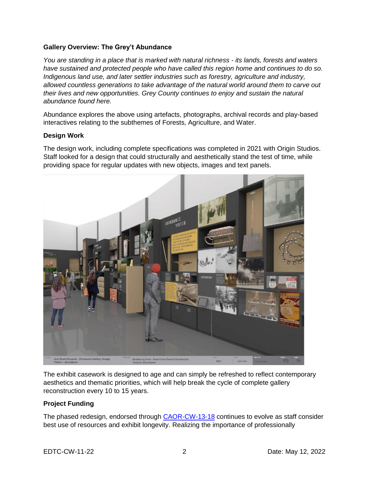#### **Gallery Overview: The Grey't Abundance**

*You are standing in a place that is marked with natural richness - its lands, forests and waters have sustained and protected people who have called this region home and continues to do so. Indigenous land use, and later settler industries such as forestry, agriculture and industry, allowed countless generations to take advantage of the natural world around them to carve out their lives and new opportunities. Grey County continues to enjoy and sustain the natural abundance found here.* 

Abundance explores the above using artefacts, photographs, archival records and play-based interactives relating to the subthemes of Forests, Agriculture, and Water.

#### **Design Work**

The design work, including complete specifications was completed in 2021 with Origin Studios. Staff looked for a design that could structurally and aesthetically stand the test of time, while providing space for regular updates with new objects, images and text panels.



The exhibit casework is designed to age and can simply be refreshed to reflect contemporary aesthetics and thematic priorities, which will help break the cycle of complete gallery reconstruction every 10 to 15 years.

#### **Project Funding**

The phased redesign, endorsed through [CAOR-CW-13-18](https://docs.grey.ca/share/s/RW8aLH6yTpKzcKLMBwIJ7w) continues to evolve as staff consider best use of resources and exhibit longevity. Realizing the importance of professionally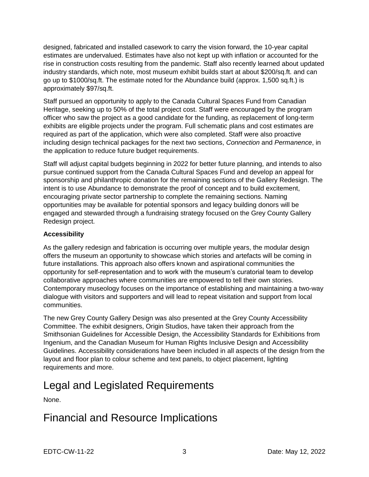designed, fabricated and installed casework to carry the vision forward, the 10-year capital estimates are undervalued. Estimates have also not kept up with inflation or accounted for the rise in construction costs resulting from the pandemic. Staff also recently learned about updated industry standards, which note, most museum exhibit builds start at about \$200/sq.ft. and can go up to \$1000/sq.ft. The estimate noted for the Abundance build (approx. 1,500 sq.ft.) is approximately \$97/sq.ft.

Staff pursued an opportunity to apply to the Canada Cultural Spaces Fund from Canadian Heritage, seeking up to 50% of the total project cost. Staff were encouraged by the program officer who saw the project as a good candidate for the funding, as replacement of long-term exhibits are eligible projects under the program. Full schematic plans and cost estimates are required as part of the application, which were also completed. Staff were also proactive including design technical packages for the next two sections, *Connection* and *Permanence*, in the application to reduce future budget requirements.

Staff will adjust capital budgets beginning in 2022 for better future planning, and intends to also pursue continued support from the Canada Cultural Spaces Fund and develop an appeal for sponsorship and philanthropic donation for the remaining sections of the Gallery Redesign. The intent is to use Abundance to demonstrate the proof of concept and to build excitement, encouraging private sector partnership to complete the remaining sections. Naming opportunities may be available for potential sponsors and legacy building donors will be engaged and stewarded through a fundraising strategy focused on the Grey County Gallery Redesign project.

#### **Accessibility**

As the gallery redesign and fabrication is occurring over multiple years, the modular design offers the museum an opportunity to showcase which stories and artefacts will be coming in future installations. This approach also offers known and aspirational communities the opportunity for self-representation and to work with the museum's curatorial team to develop collaborative approaches where communities are empowered to tell their own stories. Contemporary museology focuses on the importance of establishing and maintaining a two-way dialogue with visitors and supporters and will lead to repeat visitation and support from local communities.

The new Grey County Gallery Design was also presented at the Grey County Accessibility Committee. The exhibit designers, Origin Studios, have taken their approach from the Smithsonian Guidelines for Accessible Design, the Accessibility Standards for Exhibitions from Ingenium, and the Canadian Museum for Human Rights Inclusive Design and Accessibility Guidelines. Accessibility considerations have been included in all aspects of the design from the layout and floor plan to colour scheme and text panels, to object placement, lighting requirements and more.

# Legal and Legislated Requirements

None.

### Financial and Resource Implications